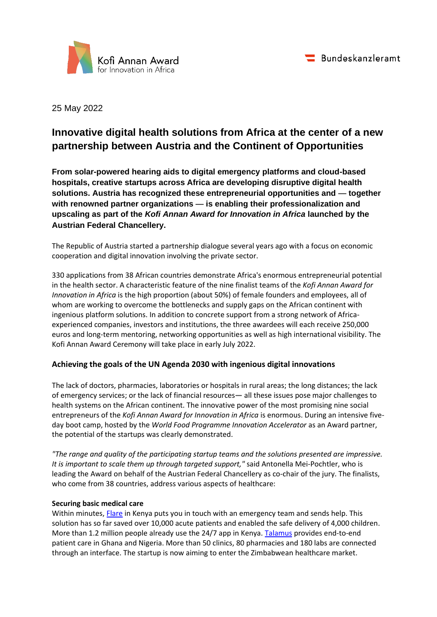



25 May 2022

# **Innovative digital health solutions from Africa at the center of a new partnership between Austria and the Continent of Opportunities**

**From solar-powered hearing aids to digital emergency platforms and cloud-based hospitals, creative startups across Africa are developing disruptive digital health solutions. Austria has recognized these entrepreneurial opportunities and — together with renowned partner organizations — is enabling their professionalization and upscaling as part of the** *Kofi Annan Award for Innovation in Africa* **launched by the Austrian Federal Chancellery.**

The Republic of Austria started a partnership dialogue several years ago with a focus on economic cooperation and digital innovation involving the private sector.

330 applications from 38 African countries demonstrate Africa's enormous entrepreneurial potential in the health sector. A characteristic feature of the nine finalist teams of the *Kofi Annan Award for Innovation in Africa* is the high proportion (about 50%) of female founders and employees, all of whom are working to overcome the bottlenecks and supply gaps on the African continent with ingenious platform solutions. In addition to concrete support from a strong network of Africaexperienced companies, investors and institutions, the three awardees will each receive 250,000 euros and long-term mentoring, networking opportunities as well as high international visibility. The Kofi Annan Award Ceremony will take place in early July 2022.

# **Achieving the goals of the UN Agenda 2030 with ingenious digital innovations**

The lack of doctors, pharmacies, laboratories or hospitals in rural areas; the long distances; the lack of emergency services; or the lack of financial resources**—** all these issues pose major challenges to health systems on the African continent. The innovative power of the most promising nine social entrepreneurs of the *Kofi Annan Award for Innovation in Africa* is enormous. During an intensive fiveday boot camp, hosted by the *World Food Programme Innovation Accelerator* as an Award partner, the potential of the startups was clearly demonstrated.

*"The range and quality of the participating startup teams and the solutions presented are impressive. It is important to scale them up through targeted support,"* said Antonella Mei-Pochtler, who is leading the Award on behalf of the Austrian Federal Chancellery as co-chair of the jury. The finalists, who come from 38 countries, address various aspects of healthcare:

# **Securing basic medical care**

Within minutes, [Flare](http://flare.co.ke/) in Kenya puts you in touch with an emergency team and sends help. This solution has so far saved over 10,000 acute patients and enabled the safe delivery of 4,000 children. More than 1.2 million people already use the 24/7 app in Kenya[. Talamus](https://talamushealth.com/) provides end-to-end patient care in Ghana and Nigeria. More than 50 clinics, 80 pharmacies and 180 labs are connected through an interface. The startup is now aiming to enter the Zimbabwean healthcare market.